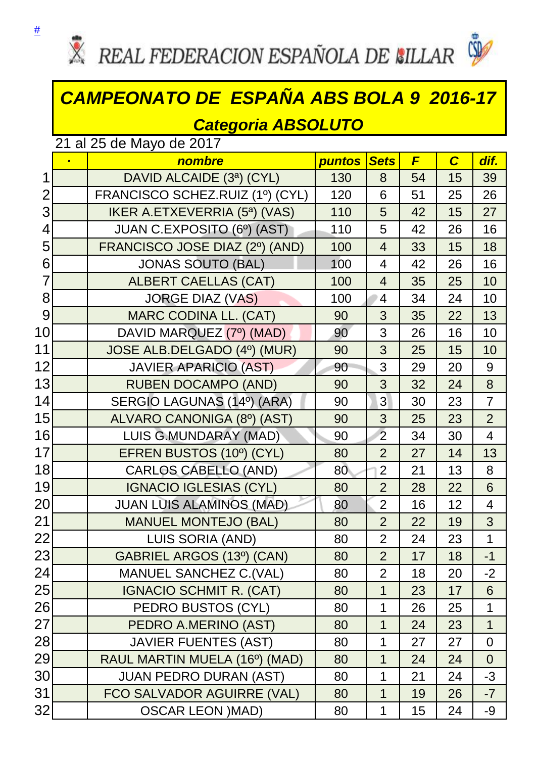

## *CAMPEONATO DE ESPAÑA ABS BOLA 9 2016-17*

## *Categoria ABSOLUTO*

21 al 25 de Mayo de 2017

|                 | $\blacksquare$ | nombre                                | <b>puntos</b> | <b>Sets</b>    | F  | $\overline{C}$ | dif.           |
|-----------------|----------------|---------------------------------------|---------------|----------------|----|----------------|----------------|
| 1               |                | DAVID ALCAIDE (3ª) (CYL)              | 130           | 8              | 54 | 15             | 39             |
| $\overline{2}$  |                | FRANCISCO SCHEZ.RUIZ (1º) (CYL)       | 120           | 6              | 51 | 25             | 26             |
| 3               |                | <b>IKER A.ETXEVERRIA (5ª) (VAS)</b>   | 110           | 5              | 42 | 15             | 27             |
| $\overline{4}$  |                | JUAN C.EXPOSITO (6º) (AST)            | 110           | 5              | 42 | 26             | 16             |
| 5               |                | FRANCISCO JOSE DIAZ (2º) (AND)        | 100           | $\overline{4}$ | 33 | 15             | 18             |
| 6               |                | <b>JONAS SOUTO (BAL)</b>              | 100           | 4              | 42 | 26             | 16             |
| $\overline{7}$  |                | <b>ALBERT CAELLAS (CAT)</b>           | 100           | $\overline{4}$ | 35 | 25             | 10             |
| 8               |                | <b>JORGE DIAZ (VAS)</b>               | 100           | $\overline{4}$ | 34 | 24             | 10             |
| 9               |                | <b>MARC CODINA LL. (CAT)</b>          | 90            | 3              | 35 | 22             | 13             |
| 10              |                | DAVID MARQUEZ (7º) (MAD)              | 90            | 3              | 26 | 16             | 10             |
| 11              |                | JOSE ALB.DELGADO (4º) (MUR)           | 90            | 3              | 25 | 15             | 10             |
| 12              |                | <b>JAVIER APARICIO (AST)</b>          | 90            | 3              | 29 | 20             | 9              |
| 13              |                | <b>RUBEN DOCAMPO (AND)</b>            | 90            | 3              | 32 | 24             | 8              |
| 14              |                | SERGIO LAGUNAS (14º) (ARA)            | 90            | 3              | 30 | 23             | $\overline{7}$ |
| 15              |                | ALVARO CANONIGA (8º) (AST)            | 90            | 3              | 25 | 23             | $\overline{2}$ |
| 16              |                | <b>LUIS G.MUNDARAY (MAD)</b>          | 90            | $\overline{2}$ | 34 | 30             | $\overline{4}$ |
| 17              |                | EFREN BUSTOS (10 <sup>0</sup> ) (CYL) | 80            | $\overline{2}$ | 27 | 14             | 13             |
| 18              |                | <b>CARLOS CABELLO (AND)</b>           | 80            | $\overline{2}$ | 21 | 13             | 8              |
| 19              |                | <b>IGNACIO IGLESIAS (CYL)</b>         | 80            | $\overline{2}$ | 28 | 22             | 6              |
| 20              |                | <b>JUAN LUIS ALAMINOS (MAD)</b>       | 80            | $\overline{2}$ | 16 | 12             | $\overline{4}$ |
| 21              |                | <b>MANUEL MONTEJO (BAL)</b>           | 80            | $\overline{2}$ | 22 | 19             | 3              |
| 22              |                | LUIS SORIA (AND)                      | 80            | $\overline{2}$ | 24 | 23             | $\mathbf{1}$   |
| 23              |                | GABRIEL ARGOS (13º) (CAN)             | 80            | $\overline{2}$ | 17 | 18             | $-1$           |
| 24              |                | <b>MANUEL SANCHEZ C. (VAL)</b>        | 80            | $\overline{2}$ | 18 | 20             | $-2$           |
| 25              |                | <b>IGNACIO SCHMIT R. (CAT)</b>        | 80            | 1              | 23 | 17             | 6              |
| 26              |                | PEDRO BUSTOS (CYL)                    | 80            | 1              | 26 | 25             | 1              |
| 27              |                | PEDRO A.MERINO (AST)                  | 80            | $\mathbf 1$    | 24 | 23             | 1              |
| 28              |                | <b>JAVIER FUENTES (AST)</b>           | 80            | 1              | 27 | 27             | 0              |
| 29              |                | RAUL MARTIN MUELA (16°) (MAD)         | 80            | $\mathbf 1$    | 24 | 24             | $\overline{0}$ |
| 30 <sup>°</sup> |                | <b>JUAN PEDRO DURAN (AST)</b>         | 80            | 1              | 21 | 24             | $-3$           |
| 31              |                | FCO SALVADOR AGUIRRE (VAL)            | 80            | 1              | 19 | 26             | $-7$           |
| 32              |                | <b>OSCAR LEON )MAD)</b>               | 80            | 1              | 15 | 24             | -9             |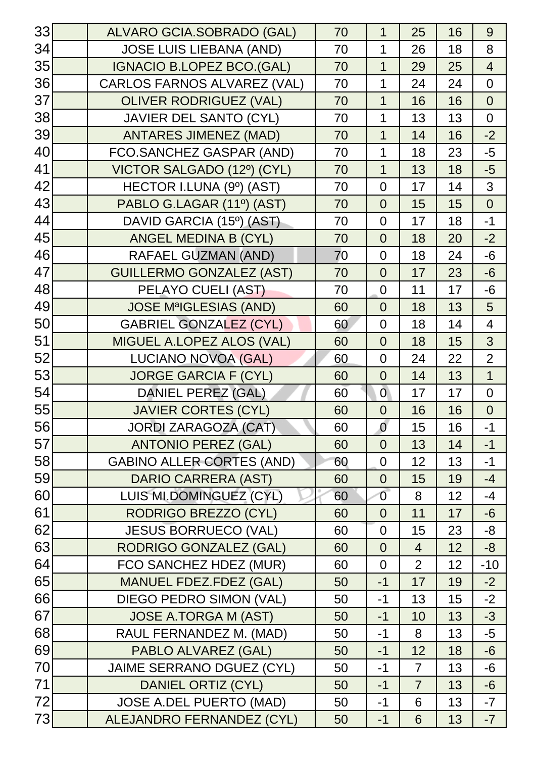| 33 | ALVARO GCIA.SOBRADO (GAL)          | 70 | 1              | 25             | 16 | 9              |
|----|------------------------------------|----|----------------|----------------|----|----------------|
| 34 | <b>JOSE LUIS LIEBANA (AND)</b>     | 70 | 1              | 26             | 18 | 8              |
| 35 | <b>IGNACIO B.LOPEZ BCO.(GAL)</b>   | 70 | 1              | 29             | 25 | $\overline{4}$ |
| 36 | <b>CARLOS FARNOS ALVAREZ (VAL)</b> | 70 | 1              | 24             | 24 | $\overline{0}$ |
| 37 | <b>OLIVER RODRIGUEZ (VAL)</b>      | 70 | $\mathbf 1$    | 16             | 16 | $\overline{0}$ |
| 38 | <b>JAVIER DEL SANTO (CYL)</b>      | 70 | 1              | 13             | 13 | $\overline{0}$ |
| 39 | <b>ANTARES JIMENEZ (MAD)</b>       | 70 | 1              | 14             | 16 | $-2$           |
| 40 | FCO.SANCHEZ GASPAR (AND)           | 70 | 1              | 18             | 23 | $-5$           |
| 41 | VICTOR SALGADO (12º) (CYL)         | 70 | $\mathbf 1$    | 13             | 18 | $-5$           |
| 42 | HECTOR I.LUNA (9º) (AST)           | 70 | $\overline{0}$ | 17             | 14 | 3              |
| 43 | PABLO G.LAGAR (11º) (AST)          | 70 | $\overline{0}$ | 15             | 15 | $\overline{0}$ |
| 44 | DAVID GARCIA (15º) (AST)           | 70 | $\overline{0}$ | 17             | 18 | $-1$           |
| 45 | ANGEL MEDINA B (CYL)               | 70 | $\overline{0}$ | 18             | 20 | $-2$           |
| 46 | <b>RAFAEL GUZMAN (AND)</b>         | 70 | $\overline{0}$ | 18             | 24 | $-6$           |
| 47 | <b>GUILLERMO GONZALEZ (AST)</b>    | 70 | $\overline{0}$ | 17             | 23 | $-6$           |
| 48 | PELAYO CUELI (AST)                 | 70 | $\overline{0}$ | 11             | 17 | $-6$           |
| 49 | <b>JOSE MªIGLESIAS (AND)</b>       | 60 | $\overline{0}$ | 18             | 13 | 5              |
| 50 | <b>GABRIEL GONZALEZ (CYL)</b>      | 60 | $\overline{0}$ | 18             | 14 | $\overline{4}$ |
| 51 | MIGUEL A.LOPEZ ALOS (VAL)          | 60 | $\overline{0}$ | 18             | 15 | 3              |
| 52 | <b>LUCIANO NOVOA (GAL)</b>         | 60 | $\overline{0}$ | 24             | 22 | $\overline{2}$ |
| 53 | <b>JORGE GARCIA F (CYL)</b>        | 60 | $\overline{0}$ | 14             | 13 | $\overline{1}$ |
| 54 | <b>DANIEL PEREZ (GAL)</b>          | 60 | $\overline{0}$ | 17             | 17 | $\overline{0}$ |
| 55 | <b>JAVIER CORTES (CYL)</b>         | 60 | $\overline{0}$ | 16             | 16 | $\overline{0}$ |
| 56 | <b>JORDI ZARAGOZA (CAT)</b>        | 60 | $\overline{0}$ | 15             | 16 | $-1$           |
| 57 | <b>ANTONIO PEREZ (GAL)</b>         | 60 | $\overline{0}$ | 13             | 14 | $-1$           |
| 58 | <b>GABINO ALLER CORTES (AND)</b>   | 60 | $\overline{0}$ | 12             | 13 | $-1$           |
| 59 | <b>DARIO CARRERA (AST)</b>         | 60 | $\overline{0}$ | 15             | 19 | $-4$           |
| 60 | LUIS MI.DOMINGUEZ (CYL)            | 60 | $\overline{0}$ | 8              | 12 | $-4$           |
| 61 | <b>RODRIGO BREZZO (CYL)</b>        | 60 | $\overline{0}$ | 11             | 17 | $-6$           |
| 62 | <b>JESUS BORRUECO (VAL)</b>        | 60 | $\overline{0}$ | 15             | 23 | -8             |
| 63 | <b>RODRIGO GONZALEZ (GAL)</b>      | 60 | $\overline{0}$ | $\overline{4}$ | 12 | $-8$           |
| 64 | FCO SANCHEZ HDEZ (MUR)             | 60 | $\overline{0}$ | $\overline{2}$ | 12 | $-10$          |
| 65 | <b>MANUEL FDEZ.FDEZ (GAL)</b>      | 50 | $-1$           | 17             | 19 | $-2$           |
| 66 | <b>DIEGO PEDRO SIMON (VAL)</b>     | 50 | $-1$           | 13             | 15 | $-2$           |
| 67 | <b>JOSE A.TORGA M (AST)</b>        | 50 | $-1$           | 10             | 13 | $-3$           |
| 68 | RAUL FERNANDEZ M. (MAD)            | 50 | $-1$           | 8              | 13 | $-5$           |
| 69 | PABLO ALVAREZ (GAL)                | 50 | $-1$           | 12             | 18 | $-6$           |
| 70 | <b>JAIME SERRANO DGUEZ (CYL)</b>   | 50 | $-1$           | $\overline{7}$ | 13 | -6             |
| 71 | <b>DANIEL ORTIZ (CYL)</b>          | 50 | $-1$           | $\overline{7}$ | 13 | $-6$           |
| 72 | <b>JOSE A.DEL PUERTO (MAD)</b>     | 50 | $-1$           | 6              | 13 | $-7$           |
| 73 | ALEJANDRO FERNANDEZ (CYL)          | 50 | $-1$           | 6              | 13 | $-7$           |